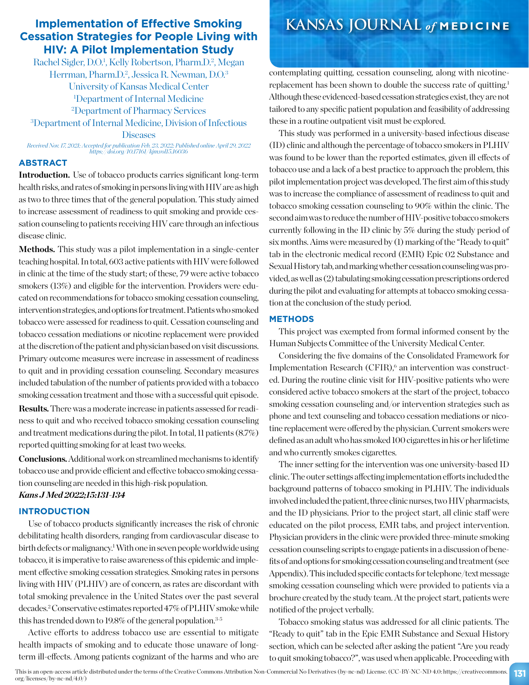# **Implementation of Effective Smoking Cessation Strategies for People Living with HIV: A Pilot Implementation Study**

Rachel Sigler, D.O.<sup>1</sup>, Kelly Robertson, Pharm.D.<sup>2</sup>, Megan Herrman, Pharm.D.<sup>2</sup>, Jessica R. Newman, D.O.<sup>3</sup> University of Kansas Medical Center 1 Department of Internal Medicine

2 Department of Pharmacy Services

3 Department of Internal Medicine, Division of Infectious **Diseases** 

*Received Nov. 17, 2021; Accepted for publication Feb. 23, 2022; Published online April 29, 2022 https://doi.org/10.17161/kjm.vol15.16036*

## **ABSTRACT**

**Introduction.** Use of tobacco products carries significant long-term health risks, and rates of smoking in persons living with HIV are as high as two to three times that of the general population. This study aimed to increase assessment of readiness to quit smoking and provide cessation counseling to patients receiving HIV care through an infectious disease clinic.

Methods. This study was a pilot implementation in a single-center teaching hospital. In total, 603 active patients with HIV were followed in clinic at the time of the study start; of these, 79 were active tobacco smokers (13%) and eligible for the intervention. Providers were educated on recommendations for tobacco smoking cessation counseling, intervention strategies, and options for treatment. Patients who smoked tobacco were assessed for readiness to quit. Cessation counseling and tobacco cessation mediations or nicotine replacement were provided at the discretion of the patient and physician based on visit discussions. Primary outcome measures were increase in assessment of readiness to quit and in providing cessation counseling. Secondary measures included tabulation of the number of patients provided with a tobacco smoking cessation treatment and those with a successful quit episode.

**Results.** There was a moderate increase in patients assessed for readiness to quit and who received tobacco smoking cessation counseling and treatment medications during the pilot. In total, 11 patients (8.7%) reported quitting smoking for at least two weeks.

**Conclusions.**Additional work on streamlined mechanisms to identify tobacco use and provide efficient and effective tobacco smoking cessation counseling are needed in this high-risk population.

## *Kans J Med 2022;15:131-134*

#### **INTRODUCTION**

Use of tobacco products significantly increases the risk of chronic debilitating health disorders, ranging from cardiovascular disease to birth defects or malignancy.1 With one in seven people worldwide using tobacco, it is imperative to raise awareness of this epidemic and implement effective smoking cessation strategies. Smoking rates in persons living with HIV (PLHIV) are of concern, as rates are discordant with total smoking prevalence in the United States over the past several decades.2 Conservative estimates reported 47% of PLHIV smoke while this has trended down to 19.8% of the general population.<sup>3-5</sup>

Active efforts to address tobacco use are essential to mitigate health impacts of smoking and to educate those unaware of longterm ill-effects. Among patients cognizant of the harms and who are

# **KANSAS JOURNAL** *of* **MEDICINE**

contemplating quitting, cessation counseling, along with nicotinereplacement has been shown to double the success rate of quitting.<sup>1</sup> Although these evidenced-based cessation strategies exist, they are not tailored to any specific patient population and feasibility of addressing these in a routine outpatient visit must be explored.

This study was performed in a university-based infectious disease (ID) clinic and although the percentage of tobacco smokers in PLHIV was found to be lower than the reported estimates, given ill effects of tobacco use and a lack of a best practice to approach the problem, this pilot implementation project was developed. The first aim of this study was to increase the compliance of assessment of readiness to quit and tobacco smoking cessation counseling to 90% within the clinic. The second aim was to reduce the number of HIV-positive tobacco smokers currently following in the ID clinic by 5% during the study period of six months. Aims were measured by (1) marking of the "Ready to quit" tab in the electronic medical record (EMR) Epic 02 Substance and Sexual History tab, and marking whether cessation counseling was provided, as well as (2) tabulating smoking cessation prescriptions ordered during the pilot and evaluating for attempts at tobacco smoking cessation at the conclusion of the study period.

### **METHODS**

This project was exempted from formal informed consent by the Human Subjects Committee of the University Medical Center.

Considering the five domains of the Consolidated Framework for Implementation Research (CFIR),<sup>6</sup> an intervention was constructed. During the routine clinic visit for HIV-positive patients who were considered active tobacco smokers at the start of the project, tobacco smoking cessation counseling and/or intervention strategies such as phone and text counseling and tobacco cessation mediations or nicotine replacement were offered by the physician. Current smokers were defined as an adult who has smoked 100 cigarettes in his or her lifetime and who currently smokes cigarettes.

The inner setting for the intervention was one university-based ID clinic. The outer settings affecting implementation efforts included the background patterns of tobacco smoking in PLHIV. The individuals involved included the patient, three clinic nurses, two HIV pharmacists, and the ID physicians. Prior to the project start, all clinic staff were educated on the pilot process, EMR tabs, and project intervention. Physician providers in the clinic were provided three-minute smoking cessation counseling scripts to engage patients in a discussion of benefits of and options for smoking cessation counseling and treatment (see Appendix). This included specific contacts for telephone/text message smoking cessation counseling which were provided to patients via a brochure created by the study team. At the project start, patients were notified of the project verbally.

Tobacco smoking status was addressed for all clinic patients. The "Ready to quit" tab in the Epic EMR Substance and Sexual History section, which can be selected after asking the patient "Are you ready to quit smoking tobacco?", was used when applicable. Proceeding with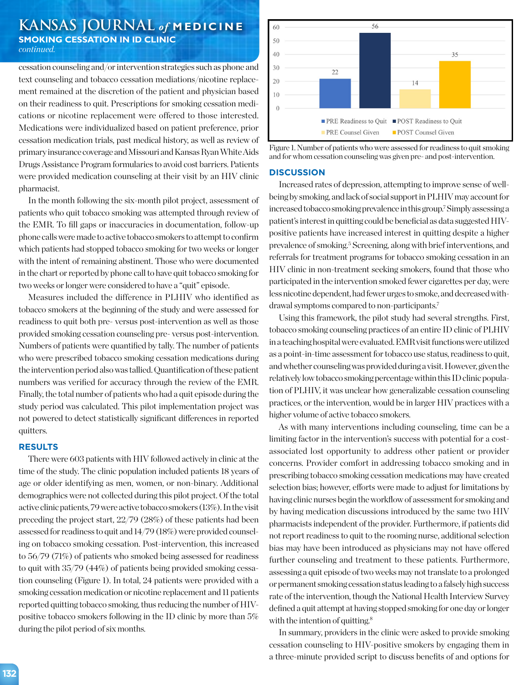# **KANSAS JOURNAL** *of* **MEDICINE SMOKING CESSATION IN ID CLINIC** *continued.*

cessation counseling and/or intervention strategies such as phone and text counseling and tobacco cessation mediations/nicotine replacement remained at the discretion of the patient and physician based on their readiness to quit. Prescriptions for smoking cessation medications or nicotine replacement were offered to those interested. Medications were individualized based on patient preference, prior cessation medication trials, past medical history, as well as review of primary insurance coverage and Missouri and Kansas Ryan White Aids Drugs Assistance Program formularies to avoid cost barriers. Patients were provided medication counseling at their visit by an HIV clinic pharmacist.

In the month following the six-month pilot project, assessment of patients who quit tobacco smoking was attempted through review of the EMR. To fill gaps or inaccuracies in documentation, follow-up phone calls were made to active tobacco smokers to attempt to confirm which patients had stopped tobacco smoking for two weeks or longer with the intent of remaining abstinent. Those who were documented in the chart or reported by phone call to have quit tobacco smoking for two weeks or longer were considered to have a "quit" episode.

Measures included the difference in PLHIV who identified as tobacco smokers at the beginning of the study and were assessed for readiness to quit both pre- versus post-intervention as well as those provided smoking cessation counseling pre- versus post-intervention. Numbers of patients were quantified by tally. The number of patients who were prescribed tobacco smoking cessation medications during the intervention period also was tallied. Quantification of these patient numbers was verified for accuracy through the review of the EMR. Finally, the total number of patients who had a quit episode during the study period was calculated. This pilot implementation project was not powered to detect statistically significant differences in reported quitters.

#### **RESULTS**

There were 603 patients with HIV followed actively in clinic at the time of the study. The clinic population included patients 18 years of age or older identifying as men, women, or non-binary. Additional demographics were not collected during this pilot project. Of the total active clinic patients, 79 were active tobacco smokers (13%). In the visit preceding the project start, 22/79 (28%) of these patients had been assessed for readiness to quit and 14/79 (18%) were provided counseling on tobacco smoking cessation. Post-intervention, this increased to 56/79 (71%) of patients who smoked being assessed for readiness to quit with 35/79 (44%) of patients being provided smoking cessation counseling (Figure 1). In total, 24 patients were provided with a smoking cessation medication or nicotine replacement and 11 patients reported quitting tobacco smoking, thus reducing the number of HIVpositive tobacco smokers following in the ID clinic by more than 5% during the pilot period of six months.





#### **DISCUSSION**

Increased rates of depression, attempting to improve sense of wellbeing by smoking, and lack of social support in PLHIV may account for increased tobacco smoking prevalence in this group.7 Simply assessing a patient's interest in quitting could be beneficial as data suggested HIVpositive patients have increased interest in quitting despite a higher prevalence of smoking.<sup>5</sup> Screening, along with brief interventions, and referrals for treatment programs for tobacco smoking cessation in an HIV clinic in non-treatment seeking smokers, found that those who participated in the intervention smoked fewer cigarettes per day, were less nicotine dependent, had fewer urges to smoke, and decreased withdrawal symptoms compared to non-participants.7

Using this framework, the pilot study had several strengths. First, tobacco smoking counseling practices of an entire ID clinic of PLHIV in a teaching hospital were evaluated. EMR visit functions were utilized as a point-in-time assessment for tobacco use status, readiness to quit, and whether counseling was provided during a visit. However, given the relatively low tobacco smoking percentage within this ID clinic population of PLHIV, it was unclear how generalizable cessation counseling practices, or the intervention, would be in larger HIV practices with a higher volume of active tobacco smokers.

As with many interventions including counseling, time can be a limiting factor in the intervention's success with potential for a costassociated lost opportunity to address other patient or provider concerns. Provider comfort in addressing tobacco smoking and in prescribing tobacco smoking cessation medications may have created selection bias; however, efforts were made to adjust for limitations by having clinic nurses begin the workflow of assessment for smoking and by having medication discussions introduced by the same two HIV pharmacists independent of the provider. Furthermore, if patients did not report readiness to quit to the rooming nurse, additional selection bias may have been introduced as physicians may not have offered further counseling and treatment to these patients. Furthermore, assessing a quit episode of two weeks may not translate to a prolonged or permanent smoking cessation status leading to a falsely high success rate of the intervention, though the National Health Interview Survey defined a quit attempt at having stopped smoking for one day or longer with the intention of quitting.<sup>8</sup>

In summary, providers in the clinic were asked to provide smoking cessation counseling to HIV-positive smokers by engaging them in a three-minute provided script to discuss benefits of and options for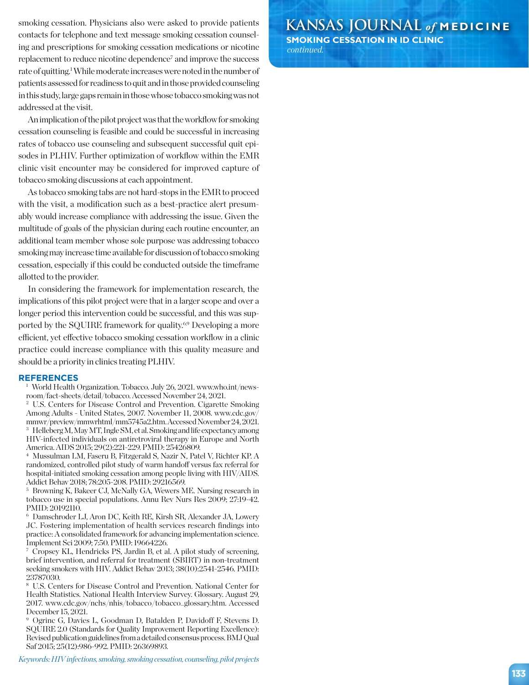smoking cessation. Physicians also were asked to provide patients contacts for telephone and text message smoking cessation counseling and prescriptions for smoking cessation medications or nicotine replacement to reduce nicotine dependence<sup>7</sup> and improve the success rate of quitting.<sup>1</sup> While moderate increases were noted in the number of patients assessed for readiness to quit and in those provided counseling in this study, large gaps remain in those whose tobacco smoking was not addressed at the visit.

An implication of the pilot project was that the workflow for smoking cessation counseling is feasible and could be successful in increasing rates of tobacco use counseling and subsequent successful quit episodes in PLHIV. Further optimization of workflow within the EMR clinic visit encounter may be considered for improved capture of tobacco smoking discussions at each appointment.

As tobacco smoking tabs are not hard-stops in the EMR to proceed with the visit, a modification such as a best-practice alert presumably would increase compliance with addressing the issue. Given the multitude of goals of the physician during each routine encounter, an additional team member whose sole purpose was addressing tobacco smoking may increase time available for discussion of tobacco smoking cessation, especially if this could be conducted outside the timeframe allotted to the provider.

In considering the framework for implementation research, the implications of this pilot project were that in a larger scope and over a longer period this intervention could be successful, and this was supported by the SQUIRE framework for quality.<sup>6,9</sup> Developing a more efficient, yet effective tobacco smoking cessation workflow in a clinic practice could increase compliance with this quality measure and should be a priority in clinics treating PLHIV.

#### **REFERENCES**

<sup>1</sup> World Health Organization. Tobacco. July 26, 2021. www.who.int/newsroom/fact-sheets/detail/tobacco. Accessed November 24, 2021.

<sup>2</sup> U.S. Centers for Disease Control and Prevention. Cigarette Smoking Among Adults - United States, 2007. November 11, 2008. www.cdc.gov/ mmwr/preview/mmwrhtml/mm5745a2.htm. Accessed November 24, 2021. <sup>3</sup> Helleberg M, May MT, Ingle SM, et al. Smoking and life expectancy among HIV-infected individuals on antiretroviral therapy in Europe and North America. AIDS 2015; 29(2):221-229. PMID: 25426809.

<sup>4</sup> Mussulman LM, Faseru B, Fitzgerald S, Nazir N, Patel V, Richter KP. A randomized, controlled pilot study of warm handoff versus fax referral for hospital-initiated smoking cessation among people living with HIV/AIDS. Addict Behav 2018; 78:205-208. PMID: 29216569.

<sup>5</sup> Browning K, Bakeer CJ, McNally GA, Wewers ME. Nursing research in tobacco use in special populations. Annu Rev Nurs Res 2009; 27:19-42. PMID: 20192110.

<sup>6</sup> Damschroder LJ, Aron DC, Keith RE, Kirsh SR, Alexander JA, Lowery JC. Fostering implementation of health services research findings into practice: A consolidated framework for advancing implementation science. Implement Sci 2009; 7:50. PMID: 19664226.

<sup>7</sup> Cropsey KL, Hendricks PS, Jardin B, et al. A pilot study of screening, brief intervention, and referral for treatment (SBIRT) in non-treatment seeking smokers with HIV. Addict Behav 2013; 38(10):2541-2546. PMID: 23787030.

<sup>8</sup> U.S. Centers for Disease Control and Prevention. National Center for Health Statistics. National Health Interview Survey. Glossary. August 29, 2017. www.cdc.gov/nchs/nhis/tobacco/tobacco\_glossary.htm. Accessed December 15, 2021.

<sup>9</sup> Ogrinc G, Davies L, Goodman D, Batalden P, Davidoff F, Stevens D. SQUIRE 2.0 (Standards for Quality Improvement Reporting Excellence): Revised publication guidelines from a detailed consensus process. BMJ Qual Saf 2015; 25(12):986-992. PMID: 26369893.

*Keywords: HIV infections, smoking, smoking cessation, counseling, pilot projects*

**KANSAS JOURNAL** *of* **MEDICINE SMOKING CESSATION IN ID CLINIC** *continued.*